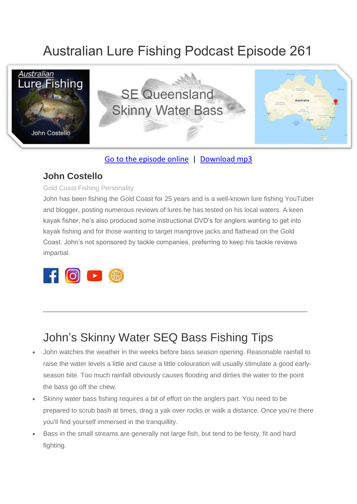# Australian Lure Fishing Podcast Episode 261



### [Go to the episode online](https://doclures.com/se-queensland-bass-john-costello/) | [Download mp3](https://traffic.libsyn.com/secure/doclures/seq-skinny-bass-john-costello.mp3)

### **John Costello**

#### Gold Coast Fishing Personality

John has been fishing the Gold Coast for 25 years and is a well-known lure fishing YouTuber and blogger, posting numerous reviews of lures he has tested on his local waters. A keen kayak fisher, he's also produced some instructional DVD's for anglers wanting to get into kayak fishing and for those wanting to target mangrove jacks and flathead on the Gold Coast. John's not sponsored by tackle companies, preferring to keep his tackle reviews impartial.



## John's Skinny Water SEQ Bass Fishing Tips

• John watches the weather in the weeks before bass season opening. Reasonable rainfall to raise the water levels a little and cause a little colouration will usually stimulate a good earlyseason bite. Too much rainfall obviously causes flooding and dirties the water to the point the bass go off the chew.

\_\_\_\_\_\_\_\_\_\_\_\_\_\_\_\_\_\_\_\_\_\_\_\_\_\_\_\_\_\_\_\_\_\_\_\_\_\_\_\_\_\_\_\_\_\_\_\_\_\_\_\_\_\_\_\_\_\_\_\_\_

- Skinny water bass fishing requires a bit of effort on the anglers part. You need to be prepared to scrub bash at times, drag a yak over rocks or walk a distance. Once you're there you'll find yourself immersed in the tranquillity.
- Bass in the small streams are generally not large fish, but tend to be feisty, fit and hard fighting.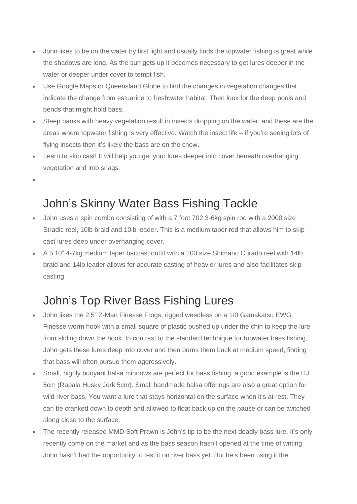- John likes to be on the water by first light and usually finds the topwater fishing is great while the shadows are long. As the sun gets up it becomes necessary to get lures deeper in the water or deeper under cover to tempt fish.
- Use Google Maps or Queensland Globe to find the changes in vegetation changes that indicate the change from estuarine to freshwater habitat. Then look for the deep pools and bends that might hold bass.
- Steep banks with heavy vegetation result in insects dropping on the water, and these are the areas where topwater fishing is very effective. Watch the insect life – if you're seeing lots of flying insects then it's likely the bass are on the chew.
- Learn to skip cast! It will help you get your lures deeper into cover beneath overhanging vegetation and into snags.
- •

## John's Skinny Water Bass Fishing Tackle

- John uses a spin combo consisting of with a 7 foot 702 3-6kg spin rod with a 2000 size Stradic reel, 10lb braid and 10lb leader. This is a medium taper rod that allows him to skip cast lures deep under overhanging cover.
- A 5'10" 4-7kg medium taper baitcast outfit with a 200 size Shimano Curado reel with 14lb braid and 14lb leader allows for accurate casting of heavier lures and also facilitates skip casting.

## John's Top River Bass Fishing Lures

- John likes the 2.5" Z-Man Finesse Frogs, rigged weedless on a 1/0 Gamakatsu EWG Finesse worm hook with a small square of plastic pushed up under the chin to keep the lure from sliding down the hook. In contrast to the standard technique for topwater bass fishing, John gets these lures deep into cover and then burns them back at medium speed, finding that bass will often pursue them aggressively.
- Small, highly buoyant balsa minnows are perfect for bass fishing, a good example is the HJ 5cm (Rapala Husky Jerk 5cm). Small handmade balsa offerings are also a great option for wild river bass. You want a lure that stays horizontal on the surface when it's at rest. They can be cranked down to depth and allowed to float back up on the pause or can be twitched along close to the surface.
- The recently released MMD Soft Prawn is John's tip to be the next deadly bass lure. It's only recently come on the market and as the bass season hasn't opened at the time of writing John hasn't had the opportunity to test it on river bass yet. But he's been using it the